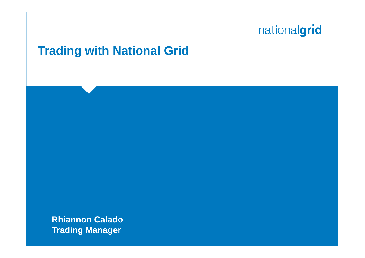#### **Trading with National Grid**

**Rhiannon Calado Trading Manager**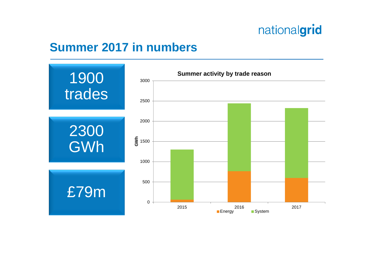#### **Summer 2017 in numbers**

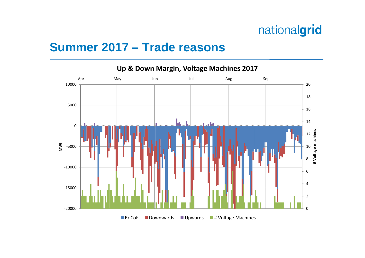#### **Summer 2017 – Trade reasons**

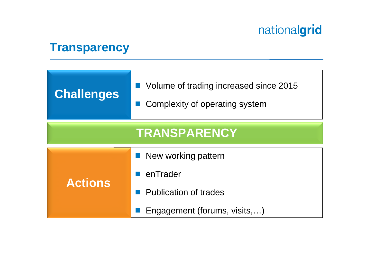#### **Transparency**

| <b>Challenges</b>   | ■ Volume of trading increased since 2015<br>Complexity of operating system |  |  |  |  |
|---------------------|----------------------------------------------------------------------------|--|--|--|--|
| <b>TRANSPARENCY</b> |                                                                            |  |  |  |  |
| <b>Actions</b>      | ■ New working pattern                                                      |  |  |  |  |
|                     | enTrader                                                                   |  |  |  |  |
|                     | <b>Publication of trades</b>                                               |  |  |  |  |
|                     | Engagement (forums, visits,)                                               |  |  |  |  |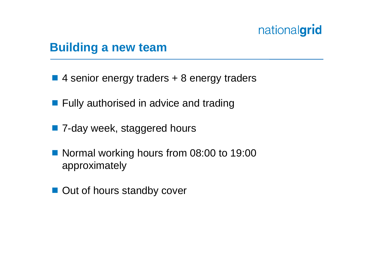#### **Building a new team**

- 4 senior energy traders + 8 energy traders
- **Fully authorised in advice and trading**
- 7-day week, staggered hours
- Normal working hours from 08:00 to 19:00 approximately
- Out of hours standby cover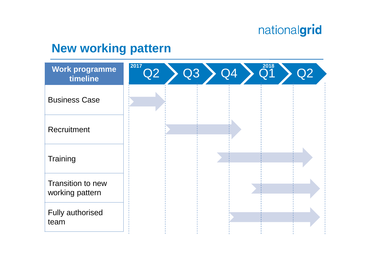#### **New working pattern**

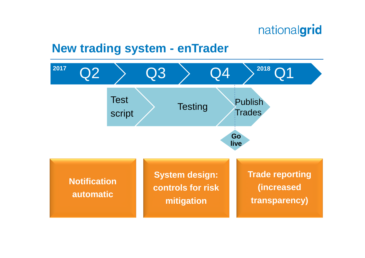#### **New trading system - enTrader**

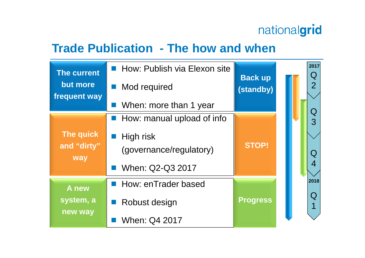#### **Trade Publication - The how and when**

| <b>The current</b><br>but more<br>frequent way | How: Publish via Elexon site<br>Mod required<br>When: more than 1 year                 | <b>Back up</b><br>(standby) | 2017<br>Q<br>$\overline{2}$ |
|------------------------------------------------|----------------------------------------------------------------------------------------|-----------------------------|-----------------------------|
| The quick<br>and "dirty"<br>way                | How: manual upload of info<br>High risk<br>(governance/regulatory)<br>When: Q2-Q3 2017 | <b>STOP!</b>                | ${\bf Q}$<br>3<br>Q         |
| A new<br>system, a<br>new way                  | <b>How: enTrader based</b><br>Robust design<br>When: Q4 2017                           | <b>Progress</b>             | 2018<br>Q                   |